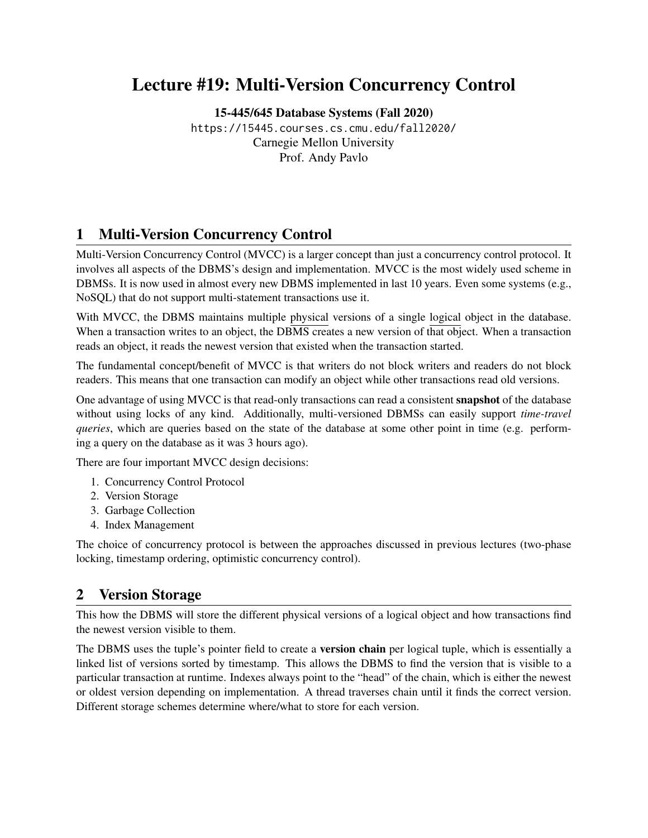# Lecture #19: Multi-Version Concurrency Control

[15-445/645 Database Systems \(Fall 2020\)](https://15445.courses.cs.cmu.edu/fall2020/) <https://15445.courses.cs.cmu.edu/fall2020/> Carnegie Mellon University [Prof. Andy Pavlo](http://www.cs.cmu.edu/~pavlo/)

## 1 Multi-Version Concurrency Control

Multi-Version Concurrency Control (MVCC) is a larger concept than just a concurrency control protocol. It involves all aspects of the DBMS's design and implementation. MVCC is the most widely used scheme in DBMSs. It is now used in almost every new DBMS implemented in last 10 years. Even some systems (e.g., NoSQL) that do not support multi-statement transactions use it.

With MVCC, the DBMS maintains multiple physical versions of a single logical object in the database. When a transaction writes to an object, the DBMS creates a new version of that object. When a transaction reads an object, it reads the newest version that existed when the transaction started.

The fundamental concept/benefit of MVCC is that writers do not block writers and readers do not block readers. This means that one transaction can modify an object while other transactions read old versions.

One advantage of using MVCC is that read-only transactions can read a consistent snapshot of the database without using locks of any kind. Additionally, multi-versioned DBMSs can easily support *time-travel queries*, which are queries based on the state of the database at some other point in time (e.g. performing a query on the database as it was 3 hours ago).

There are four important MVCC design decisions:

- 1. Concurrency Control Protocol
- 2. Version Storage
- 3. Garbage Collection
- 4. Index Management

The choice of concurrency protocol is between the approaches discussed in previous lectures (two-phase locking, timestamp ordering, optimistic concurrency control).

### 2 Version Storage

This how the DBMS will store the different physical versions of a logical object and how transactions find the newest version visible to them.

The DBMS uses the tuple's pointer field to create a **version chain** per logical tuple, which is essentially a linked list of versions sorted by timestamp. This allows the DBMS to find the version that is visible to a particular transaction at runtime. Indexes always point to the "head" of the chain, which is either the newest or oldest version depending on implementation. A thread traverses chain until it finds the correct version. Different storage schemes determine where/what to store for each version.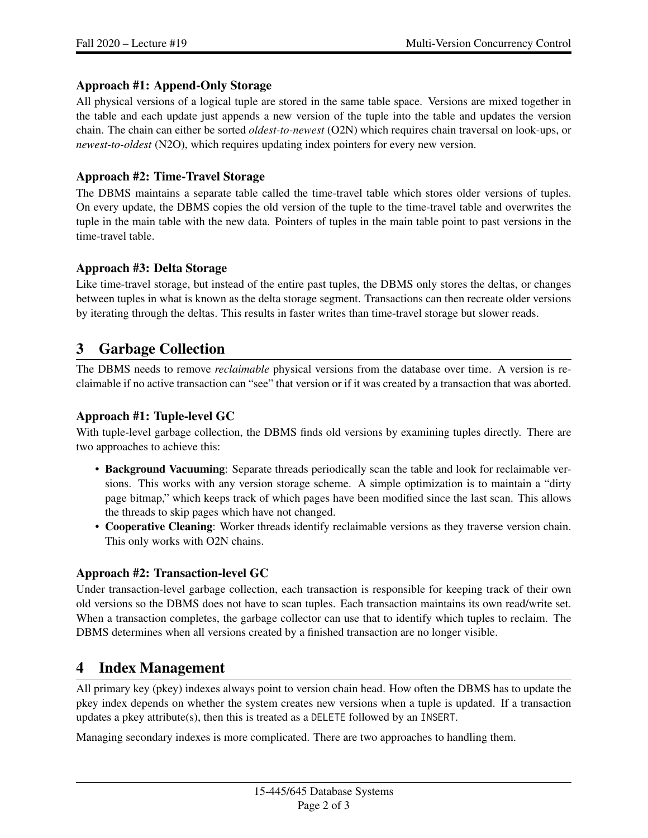#### Approach #1: Append-Only Storage

All physical versions of a logical tuple are stored in the same table space. Versions are mixed together in the table and each update just appends a new version of the tuple into the table and updates the version chain. The chain can either be sorted *oldest-to-newest* (O2N) which requires chain traversal on look-ups, or *newest-to-oldest* (N2O), which requires updating index pointers for every new version.

### Approach #2: Time-Travel Storage

The DBMS maintains a separate table called the time-travel table which stores older versions of tuples. On every update, the DBMS copies the old version of the tuple to the time-travel table and overwrites the tuple in the main table with the new data. Pointers of tuples in the main table point to past versions in the time-travel table.

#### Approach #3: Delta Storage

Like time-travel storage, but instead of the entire past tuples, the DBMS only stores the deltas, or changes between tuples in what is known as the delta storage segment. Transactions can then recreate older versions by iterating through the deltas. This results in faster writes than time-travel storage but slower reads.

### 3 Garbage Collection

The DBMS needs to remove *reclaimable* physical versions from the database over time. A version is reclaimable if no active transaction can "see" that version or if it was created by a transaction that was aborted.

### Approach #1: Tuple-level GC

With tuple-level garbage collection, the DBMS finds old versions by examining tuples directly. There are two approaches to achieve this:

- Background Vacuuming: Separate threads periodically scan the table and look for reclaimable versions. This works with any version storage scheme. A simple optimization is to maintain a "dirty page bitmap," which keeps track of which pages have been modified since the last scan. This allows the threads to skip pages which have not changed.
- Cooperative Cleaning: Worker threads identify reclaimable versions as they traverse version chain. This only works with O2N chains.

### Approach #2: Transaction-level GC

Under transaction-level garbage collection, each transaction is responsible for keeping track of their own old versions so the DBMS does not have to scan tuples. Each transaction maintains its own read/write set. When a transaction completes, the garbage collector can use that to identify which tuples to reclaim. The DBMS determines when all versions created by a finished transaction are no longer visible.

### 4 Index Management

All primary key (pkey) indexes always point to version chain head. How often the DBMS has to update the pkey index depends on whether the system creates new versions when a tuple is updated. If a transaction updates a pkey attribute(s), then this is treated as a DELETE followed by an INSERT.

Managing secondary indexes is more complicated. There are two approaches to handling them.